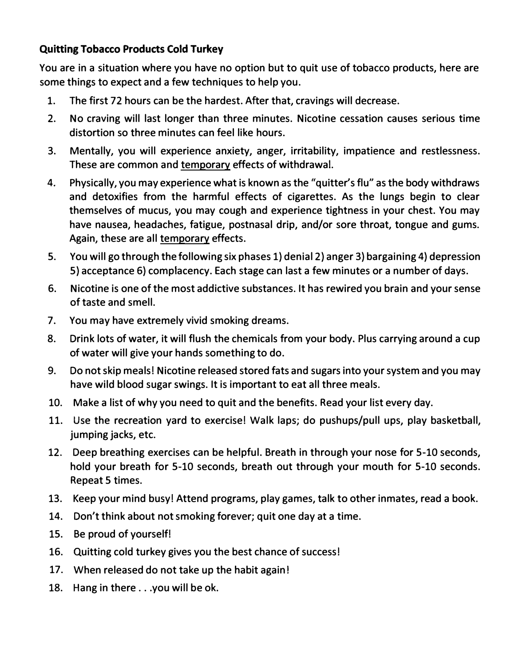## **Quitting Tobacco Products Cold Turkey**

**You are in a situation where you have no option but to quit use of tobacco products, here are some things to expect and a few techniques to help you.** 

- **1. The first 72 hours can be the hardest. After that, cravings will decrease.**
- **2. No craving will last longer than three minutes. Nicotine cessation causes serious time distortion so three minutes can feel like hours.**
- **3. Mentally, you will experience anxiety, anger, irritability, impatience and restlessness. These are common and temporary effects of withdrawal.**
- **4. Physically, you may experience what is known as the "quitter's flu" as the body withdraws and detoxifies from the harmful effects of cigarettes. As the lungs begin to clear themselves of mucus, you may cough and experience tightness in your chest. You may have nausea, headaches, fatigue, postnasal drip, and/or sore throat, tongue and gums. Again, these are all temporary effects.**
- **5. You will go through the following six phases 1) denial 2) anger 3) bargaining 4) depression 5) acceptance 6) complacency. Each stage can last a few minutes or a number of days.**
- **6. Nicotine is one of the most addictive substances. It has rewired you brain and your sense of taste and smell.**
- **7. You may have extremely vivid smoking dreams.**
- **8. Drink lots of water, it will flush the chemicals from your body. Plus carrying around a cup of water will give your hands something to do.**
- **9. Do not skip meals! Nicotine released stored fats and sugars into your system and you may have wild blood sugar swings. It is important to eat all three meals.**
- **10. Make a list of why you need to quit and the benefits. Read your list every day.**
- **11. Use the recreation yard to exercise! Walk laps; do pushups/pull ups, play basketball, jumping jacks, etc.**
- **12. Deep breathing exercises can be helpful. Breath in through your nose for 5-10 seconds, hold your breath for 5-10 seconds, breath out through your mouth for 5-10 seconds. Repeat 5 times.**
- **13. Keep your mind busy! Attend programs, play games, talk to other inmates, read a book.**
- **14. Don't think about not smoking forever; quit one day at a time.**
- **15. Be proud of yourself!**
- **16. Quitting cold turkey gives you the best chance of success I**
- **17. When released do not take up the habit again!**
- **18. Hang in there ... you will be ok.**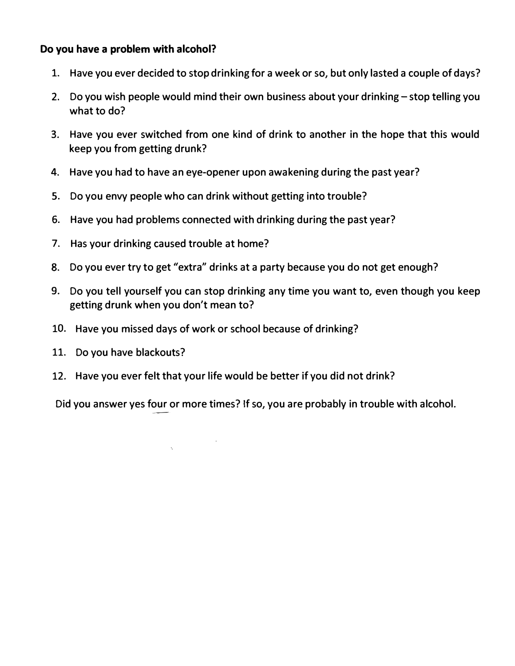## **Do you have a problem with alcohol?**

- 1. Have you ever decided to stop drinking for a week or so, but only lasted a couple of days?
- 2. Do you wish people would mind their own business about your drinking stop telling you what to do?
- 3. Have you ever switched from one kind of drink to another in the hope that this would keep you from getting drunk?
- 4. Have you had to have an eye-opener upon awakening during the past year?
- 5. Do you envy people who can drink without getting into trouble?
- 6. Have you had problems connected with drinking during the past year?
- 7. Has your drinking caused trouble at home?
- 8. Do you ever try to get "extra" drinks at a party because you do not get enough?
- 9. Do you tell yourself you can stop drinking any time you want to, even though you keep getting drunk when you don't mean to?
- 10. Have you missed days of work or school because of drinking?
- 11. Do you have blackouts?
- 12. Have you ever felt that your life would be better if you did not drink?

Did you answer yes four or more times? If so, you are probably in trouble with alcohol. �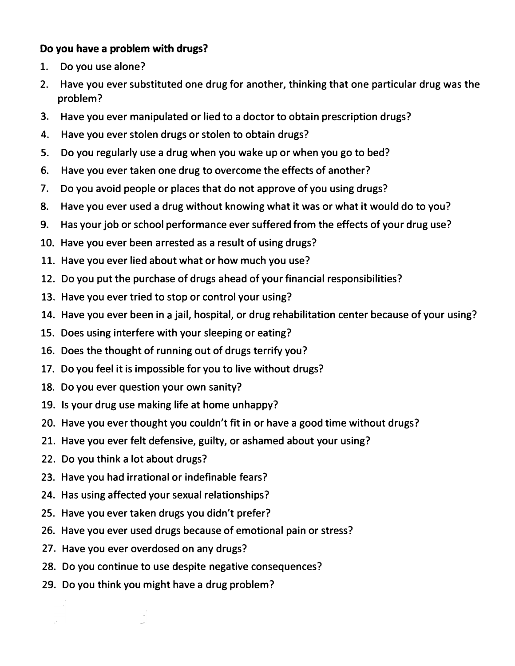## **Do you have a problem with drugs?**

- 1. Do you use alone?
- 2. Have you ever substituted one drug for another, thinking that one particular drug was the problem?
- 3. Have you ever manipulated or lied to a doctor to obtain prescription drugs?
- 4. Have you ever stolen drugs or stolen to obtain drugs?
- 5. Do you regularly use a drug when you wake up or when you go to bed?
- 6. Have you ever taken one drug to overcome the effects of another?
- 7. Do you avoid people or places that do not approve of you using drugs?
- 8. Have you ever used a drug without knowing what it was or what it would do to you?
- 9. Has your job or school performance ever suffered from the effects of your drug use?
- 10. Have you ever been arrested as a result of using drugs?
- 11. Have you ever lied about what or how much you use?
- 12. Do you put the purchase of drugs ahead of your financial responsibilities?
- 13. Have you ever tried to stop or control your using?
- 14. Have you ever been in a jail, hospital, or drug rehabilitation center because of your using?
- 15. Does using interfere with your sleeping or eating?
- 16. Does the thought of running out of drugs terrify you?
- 17. Do you feel it is impossible for you to live without drugs?
- 18. Do you ever question your own sanity?
- 19. Is your drug use making life at home unhappy?
- 20. Have you ever thought you couldn't fit in or have a good time without drugs?
- 21. Have you ever felt defensive, guilty, or ashamed about your using?
- 22. Do you think a lot about drugs?
- 23. Have you had irrational or indefinable fears?
- 24. Has using affected your sexual relationships?
- 25. Have you ever taken drugs you didn't prefer?
- 26. Have you ever used drugs because of emotional pain or stress?
- 27. Have you ever overdosed on any drugs?
- 28. Do you continue to use despite negative consequences?
- 29. Do you think you might have a drug problem?